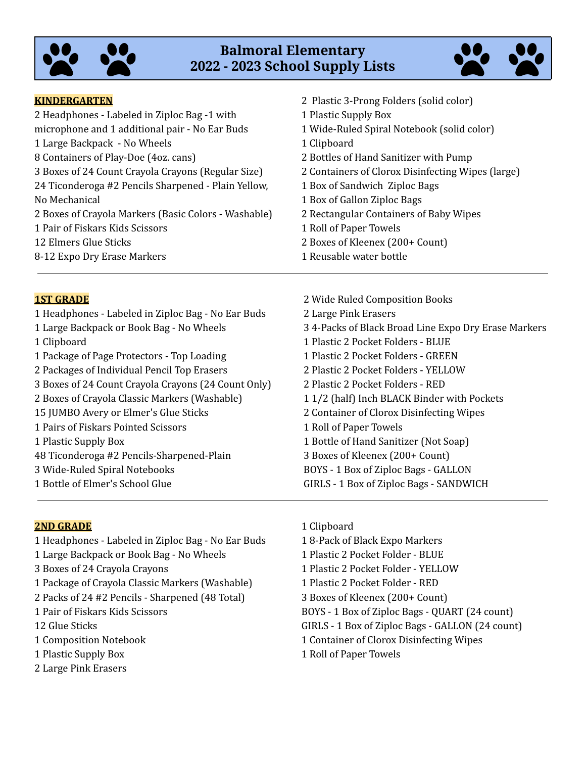

# **Balmoral Elementary - 2023 School Supply Lists**



#### **KINDERGARTEN**

| 1 Plastic Supply Box                              |
|---------------------------------------------------|
| 1 Wide-Ruled Spiral Notebook (solid color)        |
| 1 Clipboard                                       |
| 2 Bottles of Hand Sanitizer with Pump             |
| 2 Containers of Clorox Disinfecting Wipes (large) |
| 1 Box of Sandwich Ziploc Bags                     |
| 1 Box of Gallon Ziploc Bags                       |
| 2 Rectangular Containers of Baby Wipes            |
| 1 Roll of Paper Towels                            |
| 2 Boxes of Kleenex (200+ Count)                   |
| 1 Reusable water bottle                           |
|                                                   |

#### **1ST GRADE**

 Headphones - Labeled in Ziploc Bag - No Ear Buds Large Backpack or Book Bag - No Wheels Clipboard Package of Page Protectors - Top Loading Packages of Individual Pencil Top Erasers Boxes of 24 Count Crayola Crayons (24 Count Only) Boxes of Crayola Classic Markers (Washable) JUMBO Avery or Elmer's Glue Sticks Pairs of Fiskars Pointed Scissors Plastic Supply Box Ticonderoga #2 Pencils-Sharpened-Plain Wide-Ruled Spiral Notebooks Bottle of Elmer's School Glue

 Wide Ruled Composition Books Large Pink Erasers 4-Packs of Black Broad Line Expo Dry Erase Markers Plastic 2 Pocket Folders - BLUE Plastic 2 Pocket Folders - GREEN Plastic 2 Pocket Folders - YELLOW Plastic 2 Pocket Folders - RED 1/2 (half) Inch BLACK Binder with Pockets Container of Clorox Disinfecting Wipes Roll of Paper Towels Bottle of Hand Sanitizer (Not Soap) Boxes of Kleenex (200+ Count) BOYS - 1 Box of Ziploc Bags - GALLON GIRLS - 1 Box of Ziploc Bags - SANDWICH

Plastic 3-Prong Folders (solid color)

#### **2ND GRADE**

- Headphones Labeled in Ziploc Bag No Ear Buds Large Backpack or Book Bag - No Wheels Boxes of 24 Crayola Crayons Package of Crayola Classic Markers (Washable) Packs of 24 #2 Pencils - Sharpened (48 Total) Pair of Fiskars Kids Scissors Glue Sticks Composition Notebook Plastic Supply Box Large Pink Erasers
- Clipboard 8-Pack of Black Expo Markers Plastic 2 Pocket Folder - BLUE Plastic 2 Pocket Folder - YELLOW Plastic 2 Pocket Folder - RED Boxes of Kleenex (200+ Count) BOYS - 1 Box of Ziploc Bags - QUART (24 count) GIRLS - 1 Box of Ziploc Bags - GALLON (24 count) Container of Clorox Disinfecting Wipes Roll of Paper Towels